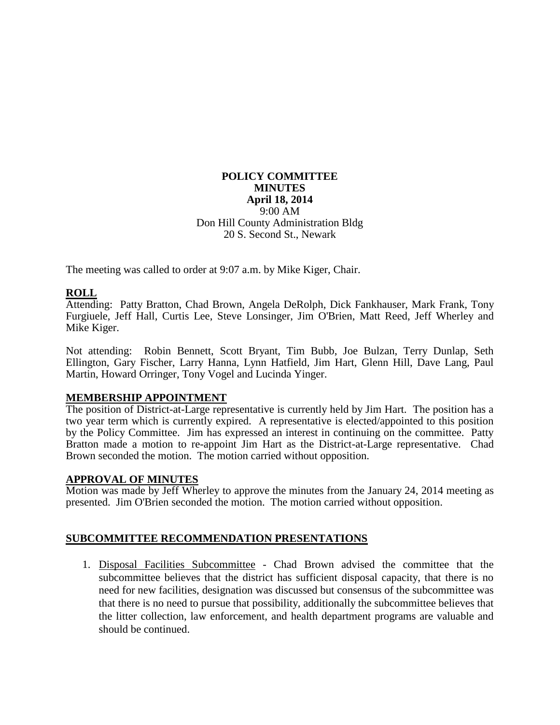#### **POLICY COMMITTEE MINUTES April 18, 2014** 9:00 AM Don Hill County Administration Bldg 20 S. Second St., Newark

The meeting was called to order at 9:07 a.m. by Mike Kiger, Chair.

# **ROLL**

Attending: Patty Bratton, Chad Brown, Angela DeRolph, Dick Fankhauser, Mark Frank, Tony Furgiuele, Jeff Hall, Curtis Lee, Steve Lonsinger, Jim O'Brien, Matt Reed, Jeff Wherley and Mike Kiger.

Not attending: Robin Bennett, Scott Bryant, Tim Bubb, Joe Bulzan, Terry Dunlap, Seth Ellington, Gary Fischer, Larry Hanna, Lynn Hatfield, Jim Hart, Glenn Hill, Dave Lang, Paul Martin, Howard Orringer, Tony Vogel and Lucinda Yinger.

#### **MEMBERSHIP APPOINTMENT**

The position of District-at-Large representative is currently held by Jim Hart. The position has a two year term which is currently expired. A representative is elected/appointed to this position by the Policy Committee. Jim has expressed an interest in continuing on the committee. Patty Bratton made a motion to re-appoint Jim Hart as the District-at-Large representative. Chad Brown seconded the motion. The motion carried without opposition.

#### **APPROVAL OF MINUTES**

Motion was made by Jeff Wherley to approve the minutes from the January 24, 2014 meeting as presented. Jim O'Brien seconded the motion. The motion carried without opposition.

## **SUBCOMMITTEE RECOMMENDATION PRESENTATIONS**

1. Disposal Facilities Subcommittee - Chad Brown advised the committee that the subcommittee believes that the district has sufficient disposal capacity, that there is no need for new facilities, designation was discussed but consensus of the subcommittee was that there is no need to pursue that possibility, additionally the subcommittee believes that the litter collection, law enforcement, and health department programs are valuable and should be continued.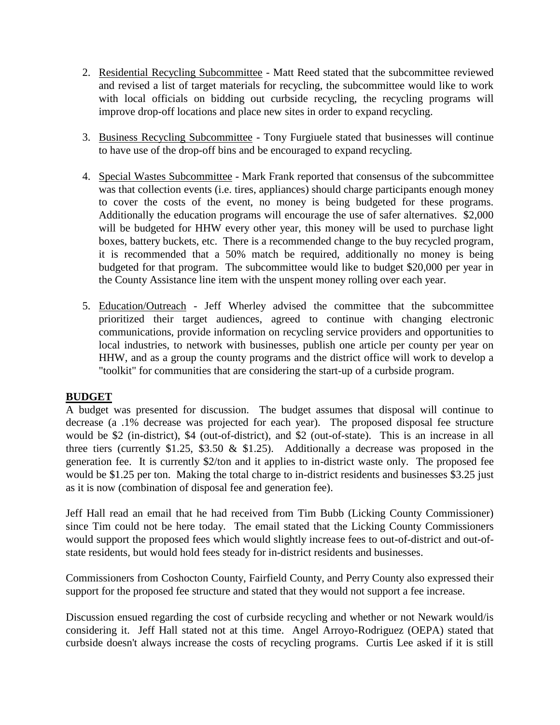- 2. Residential Recycling Subcommittee Matt Reed stated that the subcommittee reviewed and revised a list of target materials for recycling, the subcommittee would like to work with local officials on bidding out curbside recycling, the recycling programs will improve drop-off locations and place new sites in order to expand recycling.
- 3. Business Recycling Subcommittee Tony Furgiuele stated that businesses will continue to have use of the drop-off bins and be encouraged to expand recycling.
- 4. Special Wastes Subcommittee Mark Frank reported that consensus of the subcommittee was that collection events (i.e. tires, appliances) should charge participants enough money to cover the costs of the event, no money is being budgeted for these programs. Additionally the education programs will encourage the use of safer alternatives. \$2,000 will be budgeted for HHW every other year, this money will be used to purchase light boxes, battery buckets, etc. There is a recommended change to the buy recycled program, it is recommended that a 50% match be required, additionally no money is being budgeted for that program. The subcommittee would like to budget \$20,000 per year in the County Assistance line item with the unspent money rolling over each year.
- 5. Education/Outreach Jeff Wherley advised the committee that the subcommittee prioritized their target audiences, agreed to continue with changing electronic communications, provide information on recycling service providers and opportunities to local industries, to network with businesses, publish one article per county per year on HHW, and as a group the county programs and the district office will work to develop a "toolkit" for communities that are considering the start-up of a curbside program.

## **BUDGET**

A budget was presented for discussion. The budget assumes that disposal will continue to decrease (a .1% decrease was projected for each year). The proposed disposal fee structure would be \$2 (in-district), \$4 (out-of-district), and \$2 (out-of-state). This is an increase in all three tiers (currently \$1.25, \$3.50  $\&$  \$1.25). Additionally a decrease was proposed in the generation fee. It is currently \$2/ton and it applies to in-district waste only. The proposed fee would be \$1.25 per ton. Making the total charge to in-district residents and businesses \$3.25 just as it is now (combination of disposal fee and generation fee).

Jeff Hall read an email that he had received from Tim Bubb (Licking County Commissioner) since Tim could not be here today. The email stated that the Licking County Commissioners would support the proposed fees which would slightly increase fees to out-of-district and out-ofstate residents, but would hold fees steady for in-district residents and businesses.

Commissioners from Coshocton County, Fairfield County, and Perry County also expressed their support for the proposed fee structure and stated that they would not support a fee increase.

Discussion ensued regarding the cost of curbside recycling and whether or not Newark would/is considering it. Jeff Hall stated not at this time. Angel Arroyo-Rodriguez (OEPA) stated that curbside doesn't always increase the costs of recycling programs. Curtis Lee asked if it is still